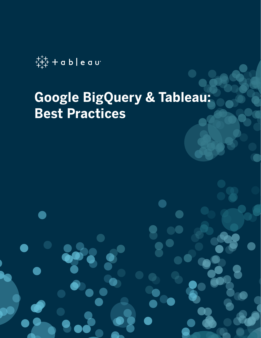

# **Google BigQuery & Tableau: Best Practices**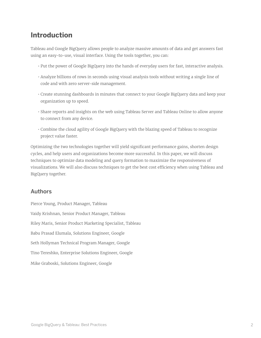# **Introduction**

Tableau and Google BigQuery allows people to analyze massive amounts of data and get answers fast using an easy-to-use, visual interface. Using the tools together, you can:

- Put the power of Google BigQuery into the hands of everyday users for fast, interactive analysis.
- Analyze billions of rows in seconds using visual analysis tools without writing a single line of code and with zero server-side management.
- Create stunning dashboards in minutes that connect to your Google BigQuery data and keep your organization up to speed.
- Share reports and insights on the web using Tableau Server and Tableau Online to allow anyone to connect from any device.
- Combine the cloud agility of Google BigQuery with the blazing speed of Tableau to recognize project value faster.

Optimizing the two technologies together will yield significant performance gains, shorten design cycles, and help users and organizations become more successful. In this paper, we will discuss techniques to optimize data modeling and query formation to maximize the responsiveness of visualizations. We will also discuss techniques to get the best cost efficiency when using Tableau and BigQuery together.

#### Authors

Pierce Young, Product Manager, Tableau Vaidy Krishnan, Senior Product Manager, Tableau Riley Maris, Senior Product Marketing Specialist, Tableau Babu Prasad Elumala, Solutions Engineer, Google Seth Hollyman Technical Program Manager, Google Tino Tereshko, Enterprise Solutions Engineer, Google Mike Graboski, Solutions Engineer, Google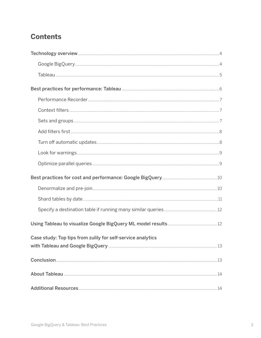# **Contents**

| Case study: Top tips from zulily for self-service analytics |  |
|-------------------------------------------------------------|--|
|                                                             |  |
|                                                             |  |
|                                                             |  |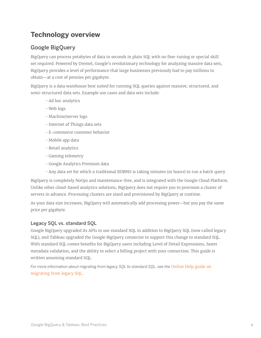# **Technology overview**

# Google BigQuery

BigQuery can process petabytes of data in seconds in plain SQL with no fine-tuning or special skill set required. Powered by Dremel, Google's revolutionary technology for analyzing massive data sets, BigQuery provides a level of performance that large businesses previously had to pay millions to obtain—at a cost of pennies per gigabyte.

BigQuery is a data warehouse best suited for running SQL queries against massive, structured, and semi-structured data sets. Example use cases and data sets include:

- Ad hoc analytics
- Web logs
- Machine/server logs
- Internet of Things data sets
- E-commerce customer behavior
- Mobile app data
- Retail analytics
- Gaming telemetry
- Google Analytics Premium data
- Any data set for which a traditional RDBMS is taking minutes (or hours) to run a batch query

BigQuery is completely NoOps and maintenance-free, and is integrated with the Google Cloud Platform. Unlike other cloud-based analytics solutions, BigQuery does not require you to provision a cluster of servers in advance. Processing clusters are sized and provisioned by BigQuery at runtime.

As your data size increases, BigQuery will automatically add processing power—but you pay the same price per gigabyte.

#### Legacy SQL vs. standard SQL

Google BigQuery upgraded its APIs to use standard SQL in addition to BigQuery SQL (now called legacy SQL), and Tableau upgraded the Google BigQuery connector to support this change to standard SQL. With standard SQL comes benefits for BigQuery users including Level of Detail Expressions, faster metadata validation, and the ability to select a billing project with your connection. This guide is written assuming standard SQL.

For more information about migrating from legacy SQL to standard SQL, see the Online Help guide on [migrating from legacy SQL.](https://cloud.google.com/bigquery/docs/reference/standard-sql/migrating-from-legacy-sql)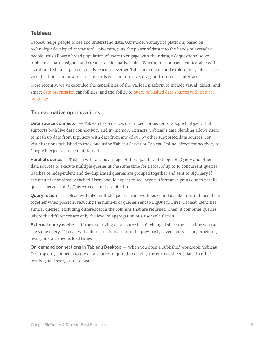## Tableau

Tableau helps people to see and understand data. Our modern analytics platform, based on technology developed at Stanford University, puts the power of data into the hands of everyday people. This allows a broad population of users to engage with their data, ask questions, solve problems, share insights, and create transformative value. Whether or not users comfortable with traditional BI tools, people quickly learn to leverage Tableau to create and explore rich, interactive visualizations and powerful dashboards with an intuitive, drag-and-drop user interface.

More recently, we've extended the capabilities of the Tableau platform to include visual, direct, and smart [data preparation](https://www.tableau.com/products/prep) capabilities, and the ability to [query published data sources with natural](https://www.tableau.com/products/new-features/ask-data)  [language.](https://www.tableau.com/products/new-features/ask-data)

#### Tableau native optimizations

Data source connector — Tableau has a native, optimized connector to Google BigQuery that supports both live data connectivity and in-memory extracts. Tableau's data blending allows users to mash up data from BigQuery with data from any of our 67 other supported data sources. For visualizations published to the cloud using Tableau Server or Tableau Online, direct connectivity to Google BigQuery can be maintained.

Parallel queries - Tableau will take advantage of the capability of Google BigQuery and other data sources to execute multiple queries at the same time for a total of up to 16 concurrent queries. Batches of independent and de-duplicated queries are grouped together and sent to BigQuery if the result is not already cached. Users should expect to see large performance gains due to parallel queries because of BigQuery's scale-out architecture.

Query fusion — Tableau will take multiple queries from workbooks and dashboards and fuse them together when possible, reducing the number of queries sent to BigQuery. First, Tableau identifies similar queries, excluding differences in the columns that are returned. Then, it combines queries where the differences are only the level of aggregation or a user calculation.

**External query cache**  $-$  If the underlying data source hasn't changed since the last time you ran the same query, Tableau will automatically read from the previously saved query cache, providing nearly instantaneous load times.

On-demand connections in Tableau Desktop - When you open a published workbook, Tableau Desktop only connects to the data sources required to display the current sheet's data. In other words, you'll see your data faster.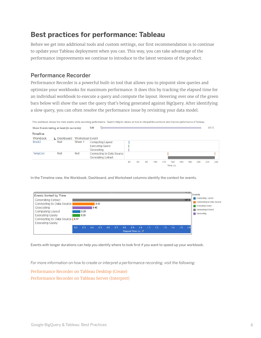# **Best practices for performance: Tableau**

Before we get into additional tools and custom settings, our first recommendation is to continue to update your Tableau deployment when you can. This way, you can take advantage of the performance improvements we continue to introduce to the latest versions of the product.

#### Performance Recorder

Performance Recorder is a powerful built-in tool that allows you to pinpoint slow queries and optimize your workbooks for maximum performance. It does this by tracking the elapsed time for an individual workbook to execute a query and compute the layout. Hovering over one of the green bars below will show the user the query that's being generated against BigQuery. After identifying a slow query, you can often resolve the performance issue by revisiting your data model.

|                   | Show Events taking at least (in seconds): |                        | 0.10                                                           |    |         |    |             |     |                 |     |     |     | 107.51 |     |
|-------------------|-------------------------------------------|------------------------|----------------------------------------------------------------|----|---------|----|-------------|-----|-----------------|-----|-----|-----|--------|-----|
| <b>Timeline</b>   |                                           |                        |                                                                |    |         |    |             |     |                 |     |     |     |        |     |
| Workbook          | $\triangle$ Dashboard                     | <b>Worksheet Event</b> |                                                                |    |         |    |             |     |                 |     |     |     |        |     |
| Book <sub>2</sub> | Null                                      | Sheet 1                | <b>Computing Layout</b><br><b>Executing Query</b><br>Geocoding |    |         |    |             |     |                 |     |     |     |        |     |
| <b>TempDoc</b>    | <b>Null</b>                               | Null                   | Connecting to Data Source<br><b>Generating Extract</b>         |    |         |    |             |     |                 |     |     |     |        |     |
|                   |                                           |                        |                                                                | 40 | T<br>60 | 80 | - 15<br>100 | 120 | 140<br>Time (s) | 160 | 180 | 200 | 220    | 240 |

In the Timeline view, the Workbook, Dashboard, and Worksheet columns identify the context for events.

|                                  |     |      |      |      |     | -------------- |     |                  |     |    |    |     |    |     | <b>VX</b> | <b>Events</b>             |
|----------------------------------|-----|------|------|------|-----|----------------|-----|------------------|-----|----|----|-----|----|-----|-----------|---------------------------|
| <b>Events Sorted by Time</b>     |     |      |      |      |     |                |     |                  |     |    |    |     |    |     |           | Computing Layout          |
| <b>Generating Extract</b>        |     |      |      |      |     |                |     |                  |     |    |    |     |    |     | 107.5     |                           |
| Connecting to Data Source        |     |      |      | 0.43 |     |                |     |                  |     |    |    |     |    |     |           | Connecting to Data Source |
| Geocoding                        |     |      | 0.40 |      |     |                |     |                  |     |    |    |     |    |     |           | <b>Executing Query</b>    |
| <b>Computing Layout</b>          |     | 0.26 |      |      |     |                |     |                  |     |    |    |     |    |     |           | Generating Extract        |
|                                  |     |      |      |      |     |                |     |                  |     |    |    |     |    |     |           | Geocoding                 |
| <b>Executing Query</b>           |     | 0.25 |      |      |     |                |     |                  |     |    |    |     |    |     |           |                           |
| Connecting to Data Source   0.17 |     |      |      |      |     |                |     |                  |     |    |    |     |    |     |           |                           |
| <b>Executing Query</b>           |     |      |      |      |     |                |     |                  |     |    |    |     |    |     |           |                           |
|                                  | 0.2 | 0.3  | 04   | 0.5  | 0.6 | 07             | 0.8 | 0.9              | 1.0 | 11 | 12 | 1.3 | 14 | 1.5 | 1.6       |                           |
|                                  |     |      |      |      |     |                |     | Elapsed Time (s) |     |    |    |     |    |     |           |                           |
|                                  |     |      |      |      |     |                |     |                  |     |    |    |     |    |     |           |                           |

Events with longer durations can help you identify where to look first if you want to speed up your workbook.

*For more information on how to create or interpret a performance recording, visit the following:*

[Performance Recorder on Tableau Desktop \(Create\)](https://onlinehelp.tableau.com/current/pro/desktop/en-us/perf_record_create_desktop.htm) [Performance Recorder on Tableau Server \(Interpret\)](https://onlinehelp.tableau.com/current/server/en-us/perf_record_interpret_server.htm)

This workbook shows the main events while recording performance. Search Help for details on how to interpret the workbook and improve performance of Tableau.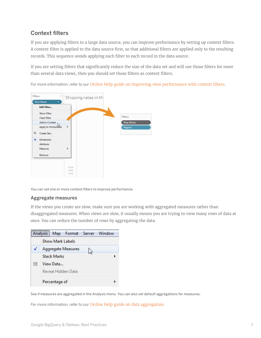## Context filters

If you are applying filters to a large data source, you can improve performance by setting up context filters. A context filter is applied to the data source first, so that additional filters are applied only to the resulting records. This sequence avoids applying each filter to each record in the data source.

If you are setting filters that significantly reduce the size of the data set and will use those filters for more than several data views, then you should set those filters as context filters.

*For more information, refer to our* [Online Help guide on improving view performance with context filters](https://onlinehelp.tableau.com/current/pro/desktop/en-us/filtering_context.htm).



You can set one or more context filters to improve performance.

#### Aggregate measures

If the views you create are slow, make sure you are working with aggregated measures rather than disaggregated measures. When views are slow, it usually means you are trying to view many rows of data at once. You can reduce the number of rows by aggregating the data.



See if measures are aggregated in the Analysis menu. You can also set default aggregations for measures.

*For more information, refer to our* [Online Help guide on data aggregation](https://onlinehelp.tableau.com/current/pro/desktop/en-us/calculations_aggregation.htm).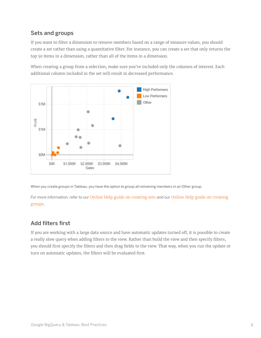## Sets and groups

If you want to filter a dimension to remove members based on a range of measure values, you should create a set rather than using a quantitative filter. For instance, you can create a set that only returns the top 50 items in a dimension, rather than all of the items in a dimension.

When creating a group from a selection, make sure you've included only the columns of interest. Each additional column included in the set will result in decreased performance.



When you create groups in Tableau, you have the option to group all remaining members in an Other group.

*For more information, refer to our* [Online Help guide on creating sets](https://onlinehelp.tableau.com/current/pro/desktop/en-us/sortgroup_sets_create.htm) *and our* [Online Help guide on creating](https://onlinehelp.tableau.com/current/pro/desktop/en-us/sortgroup_groups_creating.htm)  [groups.](https://onlinehelp.tableau.com/current/pro/desktop/en-us/sortgroup_groups_creating.htm)

# Add filters first

If you are working with a large data source and have automatic updates turned off, it is possible to create a really slow query when adding filters to the view. Rather than build the view and then specify filters, you should first specify the filters and then drag fields to the view. That way, when you run the update or turn on automatic updates, the filters will be evaluated first.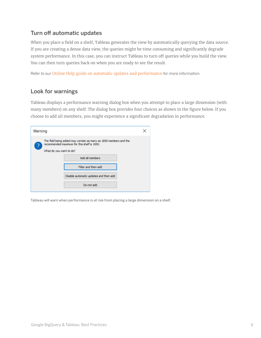### Turn off automatic updates

When you place a field on a shelf, Tableau generates the view by automatically querying the data source. If you are creating a dense data view, the queries might be time consuming and significantly degrade system performance. In this case, you can instruct Tableau to turn off queries while you build the view. You can then turn queries back on when you are ready to see the result.

*Refer to our* [Online Help guide on automatic updates and performance](https://onlinehelp.tableau.com/current/pro/desktop/en-us/queries_autoupdates.htm) *for more information.*

#### Look for warnings

Tableau displays a performance warning dialog box when you attempt to place a large dimension (with many members) on any shelf. The dialog box provides four choices as shown in the figure below. If you choose to add all members, you might experience a significant degradation in performance.

| Warning                 |                                                                                                                  |  |
|-------------------------|------------------------------------------------------------------------------------------------------------------|--|
| What do you want to do? | The field being added may contain as many as 1850 members and the<br>recommended maximum for this shelf is 1000. |  |
|                         | Add all members                                                                                                  |  |
|                         | Filter and then add                                                                                              |  |
|                         | Disable automatic updates and then add                                                                           |  |
|                         | Do not add                                                                                                       |  |

Tableau will warn when performance is at risk from placing a large dimension on a shelf.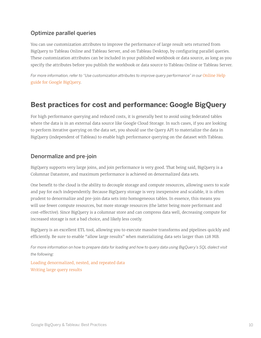## Optimize parallel queries

You can use customization attributes to improve the performance of large result sets returned from BigQuery to Tableau Online and Tableau Server, and on Tableau Desktop, by configuring parallel queries. These customization attributes can be included in your published workbook or data source, as long as you specify the attributes before you publish the workbook or data source to Tableau Online or Tableau Server.

For more information, refer to "Use customization attributes to improve query performance" in our Online Help [guide for Google BigQuery.](https://onlinehelp.tableau.com/current/pro/desktop/en-us/examples_googlebigquery.htm#use-customization-attributes-to-improve-query-performance)

# **Best practices for cost and performance: Google BigQuery**

For high performance querying and reduced costs, it is generally best to avoid using federated tables where the data is in an external data source like Google Cloud Storage. In such cases, if you are looking to perform iterative querying on the data set, you should use the Query API to materialize the data in BigQuery (independent of Tableau) to enable high performance querying on the dataset with Tableau.

#### Denormalize and pre-join

BigQuery supports very large joins, and join performance is very good. That being said, BigQuery is a Columnar Datastore, and maximum performance is achieved on denormalized data sets.

One benefit to the cloud is the ability to decouple storage and compute resources, allowing users to scale and pay for each independently. Because BigQuery storage is very inexpensive and scalable, it is often prudent to denormalize and pre-join data sets into homogeneous tables. In essence, this means you will use fewer compute resources, but more storage resources (the latter being more performant and cost-effective). Since BigQuery is a columnar store and can compress data well, decreasing compute for increased storage is not a bad choice, and likely less costly.

BigQuery is an excellent ETL tool, allowing you to execute massive transforms and pipelines quickly and efficiently. Be sure to enable "allow large results" when materializing data sets larger than 128 MB.

*For more information on how to prepare data for loading and how to query data using BigQuery's SQL dialect visit the following:*

[Loading denormalized, nested, and repeated data](https://cloud.google.com/bigquery/docs/loading-data#loading_denormalized_nested_and_repeated_data) [Writing large query results](https://cloud.google.com/bigquery/docs/writing-results#large-results)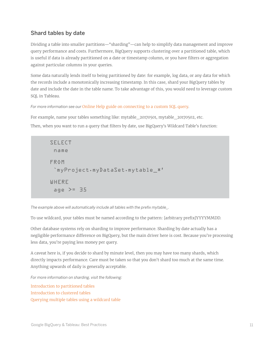## Shard tables by date

Dividing a table into smaller partitions—"sharding"—can help to simplify data management and improve query performance and costs. Furthermore, BigQuery supports clustering over a partitioned table, which is useful if data is already partitioned on a date or timestamp column, or you have filters or aggregation against particular columns in your queries.

Some data naturally lends itself to being partitioned by date: for example, log data, or any data for which the records include a monotonically increasing timestamp. In this case, shard your BigQuery tables by date and include the date in the table name. To take advantage of this, you would need to leverage custom SQL in Tableau.

#### *For more information see our* [Online Help guide on connecting to a custom SQL query.](https://onlinehelp.tableau.com/current/pro/desktop/en-us/customsql.htm)

For example, name your tables something like: mytable\_20170501, mytable\_20170502, etc. Then, when you want to run a query that filters by date, use BigQuery's Wildcard Table's function:

| <b>SELECT</b>                                  |
|------------------------------------------------|
| name                                           |
| <b>FROM</b><br>`myProject.myDataSet.mytable_*' |
| WHERE<br>age $>=$ 35                           |

*The example above will automatically include all tables with the prefix mytable\_.*

To use wildcard, your tables must be named according to the pattern: [arbitrary prefix]YYYYMMDD.

Other database systems rely on sharding to improve performance. Sharding by date actually has a negligible performance difference on BigQuery, but the main driver here is cost. Because you're processing less data, you're paying less money per query.

A caveat here is, if you decide to shard by minute level, then you may have too many shards, which directly impacts performance. Care must be taken so that you don't shard too much at the same time. Anything upwards of daily is generally acceptable.

*For more information on sharding, visit the following:*

[Introduction to partitioned tables](https://cloud.google.com/bigquery/docs/partitioned-tables) [Introduction to clustered tables](https://cloud.google.com/bigquery/docs/clustered-tables) [Querying multiple tables using a wildcard table](https://cloud.google.com/bigquery/docs/querying-wildcard-tables)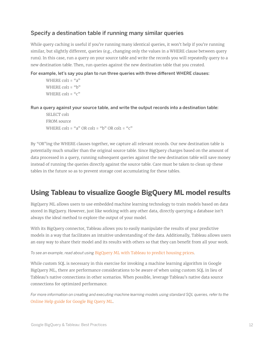## Specify a destination table if running many similar queries

While query caching is useful if you're running many identical queries, it won't help if you're running similar, but slightly different, queries (e.g., changing only the values in a WHERE clause between query runs). In this case, run a query on your source table and write the records you will repeatedly query to a new destination table. Then, run queries against the new destination table that you created.

#### For example, let's say you plan to run three queries with three different WHERE clauses:

```
WHERE \text{col1} = "a"
WHERE \text{col1} = \text{``b''}WHERE \text{col1} = \text{``c''}
```
Run a query against your source table, and write the output records into a destination table:

SELECT col1 FROM source WHERE col1 = "a" OR col1 = "b" OR col1 = "c"

By "OR"ing the WHERE clauses together, we capture all relevant records. Our new destination table is potentially much smaller than the original source table. Since BigQuery charges based on the amount of data processed in a query, running subsequent queries against the new destination table will save money instead of running the queries directly against the source table. Care must be taken to clean up these tables in the future so as to prevent storage cost accumulating for these tables.

# **Using Tableau to visualize Google BigQuery ML model results**

BigQuery ML allows users to use embedded machine learning technology to train models based on data stored in BigQuery. However, just like working with any other data, directly querying a database isn't always the ideal method to explore the output of your model.

With its BigQuery connector, Tableau allows you to easily manipulate the results of your predictive models in a way that facilitates an intuitive understanding of the data. Additionally, Tableau allows users an easy way to share their model and its results with others so that they can benefit from all your work.

*To see an example, read about using* [BigQuery ML with Tableau to predict housing prices.](https://www.tableau.com/about/blog/2018/7/leveraging-google-bigquerys-machine-learning-capabilities-analysis-tableau-91862)

While custom SQL is necessary in this exercise for invoking a machine learning algorithm in Google BigQuery ML, there are performance considerations to be aware of when using custom SQL in lieu of Tableau's native connections in other scenarios. When possible, leverage Tableau's native data source connections for optimized performance.

*For more information on creating and executing machine learning models using standard SQL queries, refer to the* [Online Help guide for Google Big Query ML.](https://cloud.google.com/bigquery/docs/bigqueryml)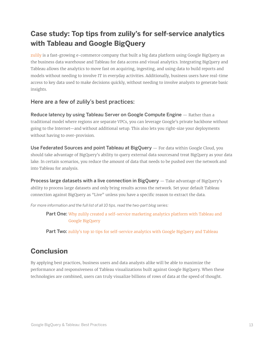# **Case study: Top tips from zulily's for self-service analytics with Tableau and Google BigQuery**

[zulily](http://www.zulily.com/ ) is a fast-growing e-commerce company that built a big data platform using Google BigQuery as the business data warehouse and Tableau for data access and visual analytics. Integrating BigQuery and Tableau allows the analytics to move fast on acquiring, ingesting, and using data to build reports and models without needing to involve IT in everyday activities. Additionally, business users have real-time access to key data used to make decisions quickly, without needing to involve analysts to generate basic insights.

## Here are a few of zulily's best practices:

Reduce latency by using Tableau Server on Google Compute Engine – Rather than a traditional model where regions are separate VPCs, you can leverage Google's private backbone without going to the Internet—and without additional setup. This also lets you right-size your deployments without having to over-provision.

Use Federated Sources and point Tableau at BigQuery - For data within Google Cloud, you should take advantage of BigQuery's ability to query external data sourcesand treat BigQuery as your data lake. In certain scenarios, you reduce the amount of data that needs to be pushed over the network and into Tableau for analysis.

Process large datasets with a live connection in BigQuery - Take advantage of BigQuery's ability to process large datasets and only bring results across the network. Set your default Tableau connection against BigQuery as "Live" unless you have a specific reason to extract the data.

*For more information and the full list of all 10 tips, read the two-part blog series:*

**Part One:** Why zulily created a self-service marketing analytics platform with Tableau and [Google BigQuery](https://www.tableau.com/about/blog/2018/4/why-zulily-created-self-service-marketing-analytics-platform-tableau-and-google)

Part Two: [zulily's top 10 tips for self-service analytics with Google BigQuery and Tableau](https://www.tableau.com/about/blog/2018/4/zulilys-top-10-tips-self-service-analytics-google-bigquery-and-tableau-84969)

# **Conclusion**

By applying best practices, business users and data analysts alike will be able to maximize the performance and responsiveness of Tableau visualizations built against Google BigQuery. When these technologies are combined, users can truly visualize billions of rows of data at the speed of thought.